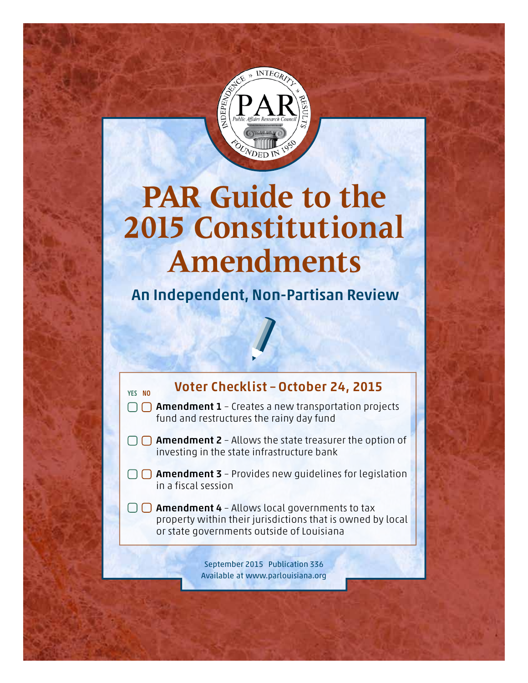

# **PAR Guide to the 2015 Constitutional Amendments**

An Independent, Non-Partisan Review



## Voter Checklist – October 24, 2015

- $\bigcap$  **Amendment 1** Creates a new transportation projects fund and restructures the rainy day fund
- $\Box$  **Amendment 2** Allows the state treasurer the option of investing in the state infrastructure bank
- $\Box$  **Amendment 3** Provides new quidelines for legislation in a fiscal session
	- $\Box$  **Amendment 4** Allows local governments to tax property within their jurisdictions that is owned by local or state governments outside of Louisiana

September 2015 Publication 336 Available at www.parlouisiana.org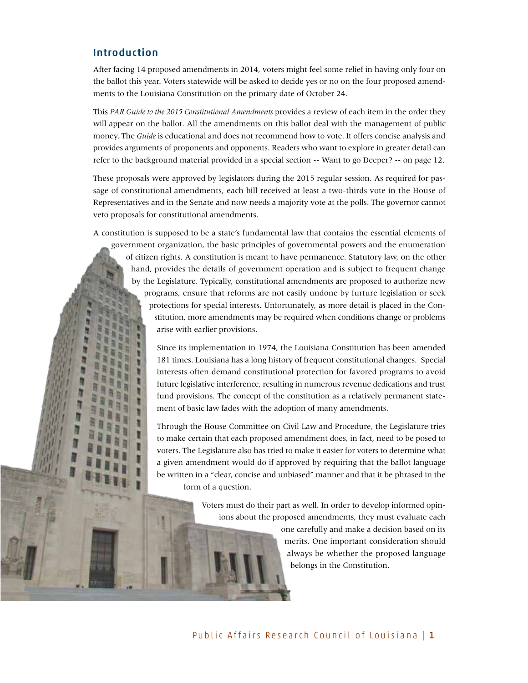#### Introduction

After facing 14 proposed amendments in 2014, voters might feel some relief in having only four on the ballot this year. Voters statewide will be asked to decide yes or no on the four proposed amendments to the Louisiana Constitution on the primary date of October 24.

This *PAR Guide to the 2015 Constitutional Amendments* provides a review of each item in the order they will appear on the ballot. All the amendments on this ballot deal with the management of public money. The *Guide* is educational and does not recommend how to vote. It offers concise analysis and provides arguments of proponents and opponents. Readers who want to explore in greater detail can refer to the background material provided in a special section -- Want to go Deeper? -- on page 12.

These proposals were approved by legislators during the 2015 regular session. As required for passage of constitutional amendments, each bill received at least a two-thirds vote in the House of Representatives and in the Senate and now needs a majority vote at the polls. The governor cannot veto proposals for constitutional amendments.

A constitution is supposed to be a state's fundamental law that contains the essential elements of government organization, the basic principles of governmental powers and the enumeration of citizen rights. A constitution is meant to have permanence. Statutory law, on the other hand, provides the details of government operation and is subject to frequent change by the Legislature. Typically, constitutional amendments are proposed to authorize new programs, ensure that reforms are not easily undone by furture legislation or seek protections for special interests. Unfortunately, as more detail is placed in the Constitution, more amendments may be required when conditions change or problems arise with earlier provisions.

> Since its implementation in 1974, the Louisiana Constitution has been amended 181 times. Louisiana has a long history of frequent constitutional changes. Special interests often demand constitutional protection for favored programs to avoid future legislative interference, resulting in numerous revenue dedications and trust fund provisions. The concept of the constitution as a relatively permanent statement of basic law fades with the adoption of many amendments.

> Through the House Committee on Civil Law and Procedure, the Legislature tries to make certain that each proposed amendment does, in fact, need to be posed to voters. The Legislature also has tried to make it easier for voters to determine what a given amendment would do if approved by requiring that the ballot language be written in a "clear, concise and unbiased" manner and that it be phrased in the form of a question.

> > Voters must do their part as well. In order to develop informed opinions about the proposed amendments, they must evaluate each

> > > one carefully and make a decision based on its merits. One important consideration should always be whether the proposed language belongs in the Constitution.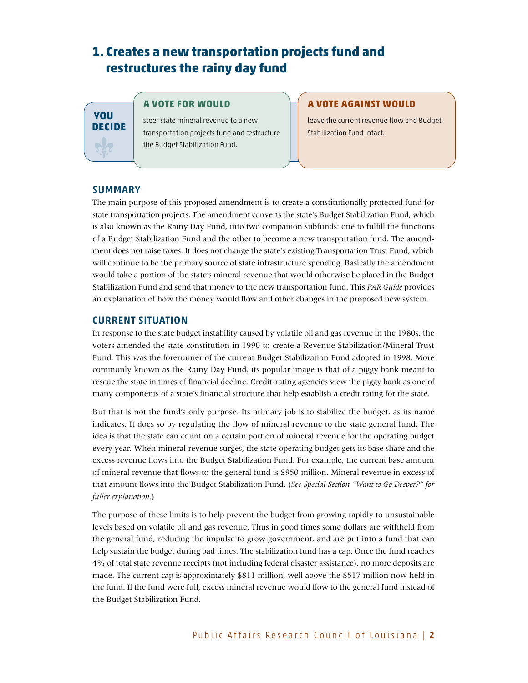## **1. Creates a new transportation projects fund and restructures the rainy day fund**

## **You Decide**

#### **A vote FOR would**

steer state mineral revenue to a new transportation projects fund and restructure the Budget Stabilization Fund.

#### **A vote AGAINST would**

leave the current revenue flow and Budget Stabilization Fund intact.

#### **SUMMARY**

The main purpose of this proposed amendment is to create a constitutionally protected fund for state transportation projects. The amendment converts the state's Budget Stabilization Fund, which is also known as the Rainy Day Fund, into two companion subfunds: one to fulfill the functions of a Budget Stabilization Fund and the other to become a new transportation fund. The amendment does not raise taxes. It does not change the state's existing Transportation Trust Fund, which will continue to be the primary source of state infrastructure spending. Basically the amendment would take a portion of the state's mineral revenue that would otherwise be placed in the Budget Stabilization Fund and send that money to the new transportation fund. This *PAR Guide* provides an explanation of how the money would flow and other changes in the proposed new system.

#### CURRENT SITUATION

In response to the state budget instability caused by volatile oil and gas revenue in the 1980s, the voters amended the state constitution in 1990 to create a Revenue Stabilization/Mineral Trust Fund. This was the forerunner of the current Budget Stabilization Fund adopted in 1998. More commonly known as the Rainy Day Fund, its popular image is that of a piggy bank meant to rescue the state in times of financial decline. Credit-rating agencies view the piggy bank as one of many components of a state's financial structure that help establish a credit rating for the state.

But that is not the fund's only purpose. Its primary job is to stabilize the budget, as its name indicates. It does so by regulating the flow of mineral revenue to the state general fund. The idea is that the state can count on a certain portion of mineral revenue for the operating budget every year. When mineral revenue surges, the state operating budget gets its base share and the excess revenue flows into the Budget Stabilization Fund. For example, the current base amount of mineral revenue that flows to the general fund is \$950 million. Mineral revenue in excess of that amount flows into the Budget Stabilization Fund. (*See Special Section "Want to Go Deeper?" for fuller explanation.*)

The purpose of these limits is to help prevent the budget from growing rapidly to unsustainable levels based on volatile oil and gas revenue. Thus in good times some dollars are withheld from the general fund, reducing the impulse to grow government, and are put into a fund that can help sustain the budget during bad times. The stabilization fund has a cap. Once the fund reaches 4% of total state revenue receipts (not including federal disaster assistance), no more deposits are made. The current cap is approximately \$811 million, well above the \$517 million now held in the fund. If the fund were full, excess mineral revenue would flow to the general fund instead of the Budget Stabilization Fund.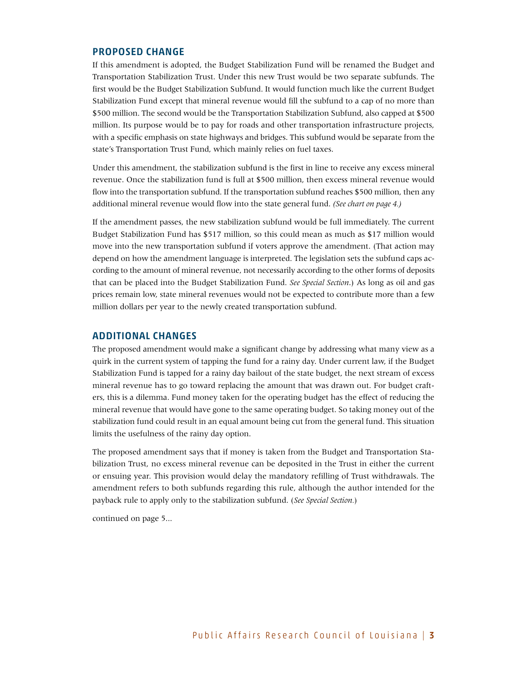#### PROPOSED CHANGE

If this amendment is adopted, the Budget Stabilization Fund will be renamed the Budget and Transportation Stabilization Trust. Under this new Trust would be two separate subfunds. The first would be the Budget Stabilization Subfund. It would function much like the current Budget Stabilization Fund except that mineral revenue would fill the subfund to a cap of no more than \$500 million. The second would be the Transportation Stabilization Subfund, also capped at \$500 million. Its purpose would be to pay for roads and other transportation infrastructure projects, with a specific emphasis on state highways and bridges. This subfund would be separate from the state's Transportation Trust Fund, which mainly relies on fuel taxes.

Under this amendment, the stabilization subfund is the first in line to receive any excess mineral revenue. Once the stabilization fund is full at \$500 million, then excess mineral revenue would flow into the transportation subfund. If the transportation subfund reaches \$500 million, then any additional mineral revenue would flow into the state general fund. *(See chart on page 4.)*

If the amendment passes, the new stabilization subfund would be full immediately. The current Budget Stabilization Fund has \$517 million, so this could mean as much as \$17 million would move into the new transportation subfund if voters approve the amendment. (That action may depend on how the amendment language is interpreted. The legislation sets the subfund caps according to the amount of mineral revenue, not necessarily according to the other forms of deposits that can be placed into the Budget Stabilization Fund. *See Special Section*.) As long as oil and gas prices remain low, state mineral revenues would not be expected to contribute more than a few million dollars per year to the newly created transportation subfund.

#### additional changes

The proposed amendment would make a significant change by addressing what many view as a quirk in the current system of tapping the fund for a rainy day. Under current law, if the Budget Stabilization Fund is tapped for a rainy day bailout of the state budget, the next stream of excess mineral revenue has to go toward replacing the amount that was drawn out. For budget crafters, this is a dilemma. Fund money taken for the operating budget has the effect of reducing the mineral revenue that would have gone to the same operating budget. So taking money out of the stabilization fund could result in an equal amount being cut from the general fund. This situation limits the usefulness of the rainy day option.

The proposed amendment says that if money is taken from the Budget and Transportation Stabilization Trust, no excess mineral revenue can be deposited in the Trust in either the current or ensuing year. This provision would delay the mandatory refilling of Trust withdrawals. The amendment refers to both subfunds regarding this rule, although the author intended for the payback rule to apply only to the stabilization subfund. (*See Special Section.*)

continued on page 5...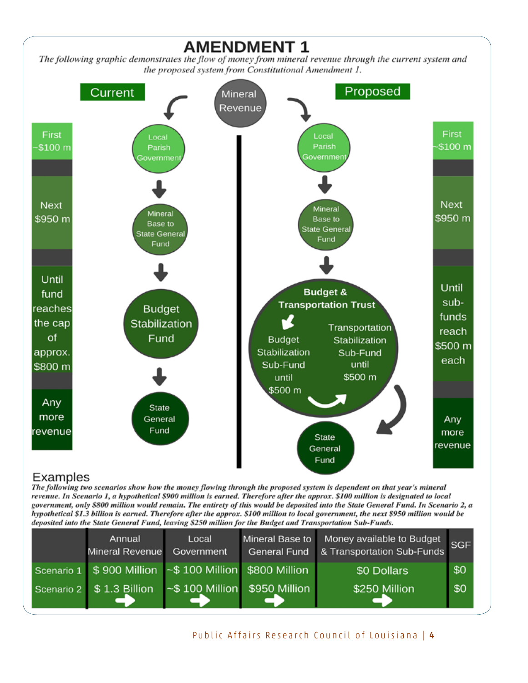

## Examples

The following two scenarios show how the money flowing through the proposed system is dependent on that year's mineral revenue. In Scenario 1, a hypothetical \$900 million is earned. Therefore after the approx. \$100 million is designated to local government, only \$800 million would remain. The entirety of this would be deposited into the State General Fund. In Scenario 2, a hypothetical \$1.3 billion is earned. Therefore after the approx. \$100 million to local government, the next \$950 million would be deposited into the State General Fund, leaving \$250 million for the Budget and Transportation Sub-Funds.

| Annual<br>Mineral Revenue                             | Local<br>Government                 | Mineral Base to Money available to Budget<br>General Fund & Transportation Sub-Funds | <b>SGF</b> |
|-------------------------------------------------------|-------------------------------------|--------------------------------------------------------------------------------------|------------|
| Scenario 1 \$900 Million ~\$100 Million \$800 Million |                                     | \$0 Dollars                                                                          | \$0        |
| Scenario 2 \$ 1.3 Billion                             | $\sim$ \$ 100 Million \$950 Million | \$250 Million                                                                        | \$0        |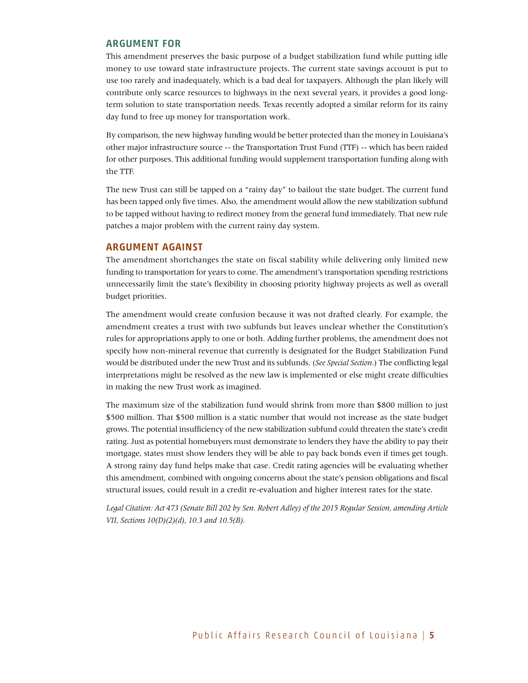#### ARGUMENT FOR

This amendment preserves the basic purpose of a budget stabilization fund while putting idle money to use toward state infrastructure projects. The current state savings account is put to use too rarely and inadequately, which is a bad deal for taxpayers. Although the plan likely will contribute only scarce resources to highways in the next several years, it provides a good longterm solution to state transportation needs. Texas recently adopted a similar reform for its rainy day fund to free up money for transportation work.

By comparison, the new highway funding would be better protected than the money in Louisiana's other major infrastructure source -- the Transportation Trust Fund (TTF) -- which has been raided for other purposes. This additional funding would supplement transportation funding along with the TTF.

The new Trust can still be tapped on a "rainy day" to bailout the state budget. The current fund has been tapped only five times. Also, the amendment would allow the new stabilization subfund to be tapped without having to redirect money from the general fund immediately. That new rule patches a major problem with the current rainy day system.

#### ARGUMENT AGAINST

The amendment shortchanges the state on fiscal stability while delivering only limited new funding to transportation for years to come. The amendment's transportation spending restrictions unnecessarily limit the state's flexibility in choosing priority highway projects as well as overall budget priorities.

The amendment would create confusion because it was not drafted clearly. For example, the amendment creates a trust with two subfunds but leaves unclear whether the Constitution's rules for appropriations apply to one or both. Adding further problems, the amendment does not specify how non-mineral revenue that currently is designated for the Budget Stabilization Fund would be distributed under the new Trust and its subfunds. (*See Special Section*.) The conflicting legal interpretations might be resolved as the new law is implemented or else might create difficulties in making the new Trust work as imagined.

The maximum size of the stabilization fund would shrink from more than \$800 million to just \$500 million. That \$500 million is a static number that would not increase as the state budget grows. The potential insufficiency of the new stabilization subfund could threaten the state's credit rating. Just as potential homebuyers must demonstrate to lenders they have the ability to pay their mortgage, states must show lenders they will be able to pay back bonds even if times get tough. A strong rainy day fund helps make that case. Credit rating agencies will be evaluating whether this amendment, combined with ongoing concerns about the state's pension obligations and fiscal structural issues, could result in a credit re-evaluation and higher interest rates for the state.

*Legal Citation: Act 473 (Senate Bill 202 by Sen. Robert Adley) of the 2015 Regular Session, amending Article VII, Sections 10(D)(2)(d), 10.3 and 10.5(B).*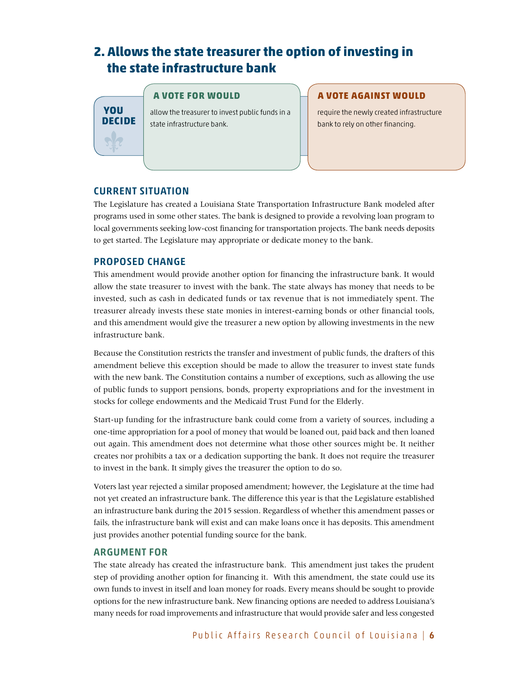## **2. Allows the state treasurer the option of investing in the state infrastructure bank**

#### **A vote FOR would**

allow the treasurer to invest public funds in a state infrastructure bank.

#### **A vote AGAINST would**

require the newly created infrastructure bank to rely on other financing.

#### CURrENt SITUATION

**You Decide**

The Legislature has created a Louisiana State Transportation Infrastructure Bank modeled after programs used in some other states. The bank is designed to provide a revolving loan program to local governments seeking low-cost financing for transportation projects. The bank needs deposits to get started. The Legislature may appropriate or dedicate money to the bank.

#### PROPOSED CHANGE

This amendment would provide another option for financing the infrastructure bank. It would allow the state treasurer to invest with the bank. The state always has money that needs to be invested, such as cash in dedicated funds or tax revenue that is not immediately spent. The treasurer already invests these state monies in interest-earning bonds or other financial tools, and this amendment would give the treasurer a new option by allowing investments in the new infrastructure bank.

Because the Constitution restricts the transfer and investment of public funds, the drafters of this amendment believe this exception should be made to allow the treasurer to invest state funds with the new bank. The Constitution contains a number of exceptions, such as allowing the use of public funds to support pensions, bonds, property expropriations and for the investment in stocks for college endowments and the Medicaid Trust Fund for the Elderly.

Start-up funding for the infrastructure bank could come from a variety of sources, including a one-time appropriation for a pool of money that would be loaned out, paid back and then loaned out again. This amendment does not determine what those other sources might be. It neither creates nor prohibits a tax or a dedication supporting the bank. It does not require the treasurer to invest in the bank. It simply gives the treasurer the option to do so.

Voters last year rejected a similar proposed amendment; however, the Legislature at the time had not yet created an infrastructure bank. The difference this year is that the Legislature established an infrastructure bank during the 2015 session. Regardless of whether this amendment passes or fails, the infrastructure bank will exist and can make loans once it has deposits. This amendment just provides another potential funding source for the bank.

#### ARGUMENT FOR

The state already has created the infrastructure bank. This amendment just takes the prudent step of providing another option for financing it. With this amendment, the state could use its own funds to invest in itself and loan money for roads. Every means should be sought to provide options for the new infrastructure bank. New financing options are needed to address Louisiana's many needs for road improvements and infrastructure that would provide safer and less congested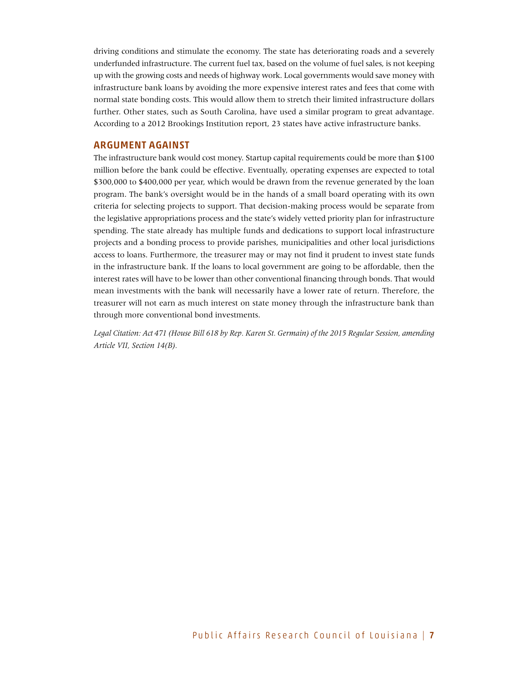driving conditions and stimulate the economy. The state has deteriorating roads and a severely underfunded infrastructure. The current fuel tax, based on the volume of fuel sales, is not keeping up with the growing costs and needs of highway work. Local governments would save money with infrastructure bank loans by avoiding the more expensive interest rates and fees that come with normal state bonding costs. This would allow them to stretch their limited infrastructure dollars further. Other states, such as South Carolina, have used a similar program to great advantage. According to a 2012 Brookings Institution report, 23 states have active infrastructure banks.

#### ARGUMENT AGAINST

The infrastructure bank would cost money. Startup capital requirements could be more than \$100 million before the bank could be effective. Eventually, operating expenses are expected to total \$300,000 to \$400,000 per year, which would be drawn from the revenue generated by the loan program. The bank's oversight would be in the hands of a small board operating with its own criteria for selecting projects to support. That decision-making process would be separate from the legislative appropriations process and the state's widely vetted priority plan for infrastructure spending. The state already has multiple funds and dedications to support local infrastructure projects and a bonding process to provide parishes, municipalities and other local jurisdictions access to loans. Furthermore, the treasurer may or may not find it prudent to invest state funds in the infrastructure bank. If the loans to local government are going to be affordable, then the interest rates will have to be lower than other conventional financing through bonds. That would mean investments with the bank will necessarily have a lower rate of return. Therefore, the treasurer will not earn as much interest on state money through the infrastructure bank than through more conventional bond investments.

*Legal Citation: Act 471 (House Bill 618 by Rep. Karen St. Germain) of the 2015 Regular Session, amending Article VII, Section 14(B).*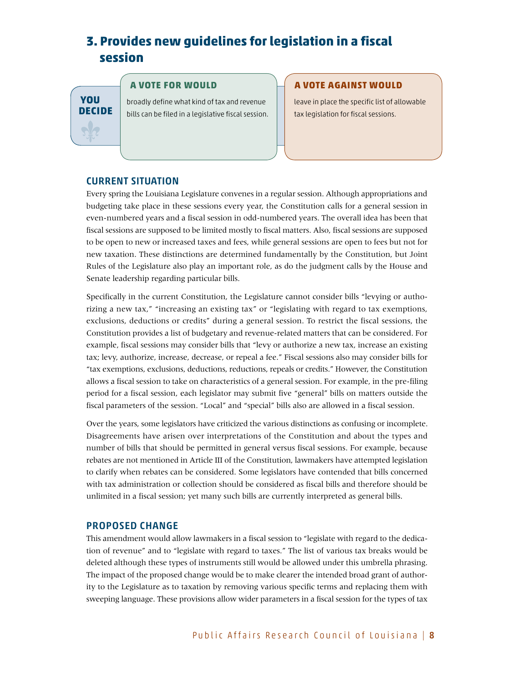## **3. Provides new guidelines for legislation in a fiscal session**

**You Decide**

#### **A vote FOR would**

broadly define what kind of tax and revenue bills can be filed in a legislative fiscal session.

#### **A vote AGAINST would**

leave in place the specific list of allowable tax legislation for fiscal sessions.

#### CURRENT SITUATION

Every spring the Louisiana Legislature convenes in a regular session. Although appropriations and budgeting take place in these sessions every year, the Constitution calls for a general session in even-numbered years and a fiscal session in odd-numbered years. The overall idea has been that fiscal sessions are supposed to be limited mostly to fiscal matters. Also, fiscal sessions are supposed to be open to new or increased taxes and fees, while general sessions are open to fees but not for new taxation. These distinctions are determined fundamentally by the Constitution, but Joint Rules of the Legislature also play an important role, as do the judgment calls by the House and Senate leadership regarding particular bills.

Specifically in the current Constitution, the Legislature cannot consider bills "levying or authorizing a new tax," "increasing an existing tax" or "legislating with regard to tax exemptions, exclusions, deductions or credits" during a general session. To restrict the fiscal sessions, the Constitution provides a list of budgetary and revenue-related matters that can be considered. For example, fiscal sessions may consider bills that "levy or authorize a new tax, increase an existing tax; levy, authorize, increase, decrease, or repeal a fee." Fiscal sessions also may consider bills for "tax exemptions, exclusions, deductions, reductions, repeals or credits." However, the Constitution allows a fiscal session to take on characteristics of a general session. For example, in the pre-filing period for a fiscal session, each legislator may submit five "general" bills on matters outside the fiscal parameters of the session. "Local" and "special" bills also are allowed in a fiscal session.

Over the years, some legislators have criticized the various distinctions as confusing or incomplete. Disagreements have arisen over interpretations of the Constitution and about the types and number of bills that should be permitted in general versus fiscal sessions. For example, because rebates are not mentioned in Article III of the Constitution, lawmakers have attempted legislation to clarify when rebates can be considered. Some legislators have contended that bills concerned with tax administration or collection should be considered as fiscal bills and therefore should be unlimited in a fiscal session; yet many such bills are currently interpreted as general bills.

#### PROPOSED CHANGE

This amendment would allow lawmakers in a fiscal session to "legislate with regard to the dedication of revenue" and to "legislate with regard to taxes." The list of various tax breaks would be deleted although these types of instruments still would be allowed under this umbrella phrasing. The impact of the proposed change would be to make clearer the intended broad grant of authority to the Legislature as to taxation by removing various specific terms and replacing them with sweeping language. These provisions allow wider parameters in a fiscal session for the types of tax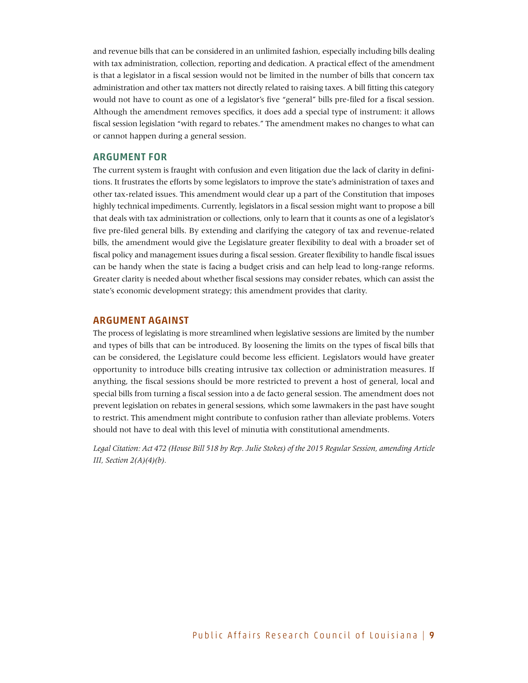and revenue bills that can be considered in an unlimited fashion, especially including bills dealing with tax administration, collection, reporting and dedication. A practical effect of the amendment is that a legislator in a fiscal session would not be limited in the number of bills that concern tax administration and other tax matters not directly related to raising taxes. A bill fitting this category would not have to count as one of a legislator's five "general" bills pre-filed for a fiscal session. Although the amendment removes specifics, it does add a special type of instrument: it allows fiscal session legislation "with regard to rebates." The amendment makes no changes to what can or cannot happen during a general session.

#### ARGUMENT FOR

The current system is fraught with confusion and even litigation due the lack of clarity in definitions. It frustrates the efforts by some legislators to improve the state's administration of taxes and other tax-related issues. This amendment would clear up a part of the Constitution that imposes highly technical impediments. Currently, legislators in a fiscal session might want to propose a bill that deals with tax administration or collections, only to learn that it counts as one of a legislator's five pre-filed general bills. By extending and clarifying the category of tax and revenue-related bills, the amendment would give the Legislature greater flexibility to deal with a broader set of fiscal policy and management issues during a fiscal session. Greater flexibility to handle fiscal issues can be handy when the state is facing a budget crisis and can help lead to long-range reforms. Greater clarity is needed about whether fiscal sessions may consider rebates, which can assist the state's economic development strategy; this amendment provides that clarity.

#### ARGUMENT AGAINST

The process of legislating is more streamlined when legislative sessions are limited by the number and types of bills that can be introduced. By loosening the limits on the types of fiscal bills that can be considered, the Legislature could become less efficient. Legislators would have greater opportunity to introduce bills creating intrusive tax collection or administration measures. If anything, the fiscal sessions should be more restricted to prevent a host of general, local and special bills from turning a fiscal session into a de facto general session. The amendment does not prevent legislation on rebates in general sessions, which some lawmakers in the past have sought to restrict. This amendment might contribute to confusion rather than alleviate problems. Voters should not have to deal with this level of minutia with constitutional amendments.

*Legal Citation: Act 472 (House Bill 518 by Rep. Julie Stokes) of the 2015 Regular Session, amending Article III, Section 2(A)(4)(b).*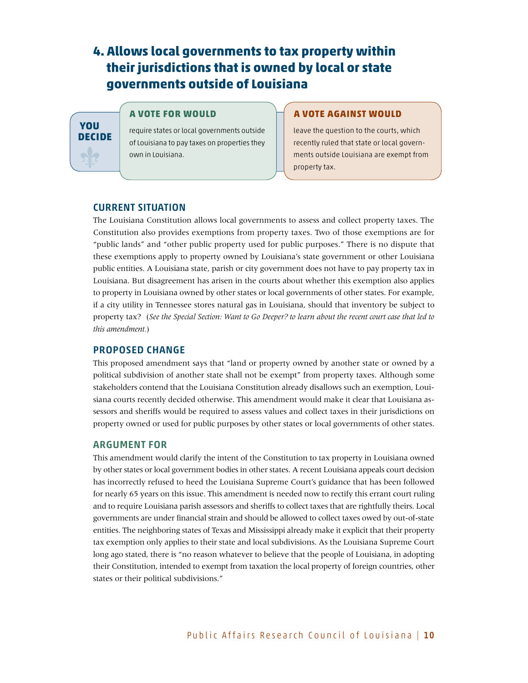## **4. Allows local governments to tax property within their jurisdictions that is owned by local or state governments outside of Louisiana**

## **You Decide** No

#### **A vote FOR would**

require states or local governments outside of Louisiana to pay taxes on properties they own in Louisiana.

#### **A vote AGAINST would**

leave the question to the courts, which recently ruled that state or local governments outside Louisiana are exempt from property tax.

#### CURRENT SITUATION

The Louisiana Constitution allows local governments to assess and collect property taxes. The Constitution also provides exemptions from property taxes. Two of those exemptions are for "public lands" and "other public property used for public purposes." There is no dispute that these exemptions apply to property owned by Louisiana's state government or other Louisiana public entities. A Louisiana state, parish or city government does not have to pay property tax in Louisiana. But disagreement has arisen in the courts about whether this exemption also applies to property in Louisiana owned by other states or local governments of other states. For example, if a city utility in Tennessee stores natural gas in Louisiana, should that inventory be subject to property tax? (*See the Special Section: Want to Go Deeper? to learn about the recent court case that led to this amendment.*)

#### PROPOSED CHANGE

This proposed amendment says that "land or property owned by another state or owned by a political subdivision of another state shall not be exempt" from property taxes. Although some stakeholders contend that the Louisiana Constitution already disallows such an exemption, Louisiana courts recently decided otherwise. This amendment would make it clear that Louisiana assessors and sheriffs would be required to assess values and collect taxes in their jurisdictions on property owned or used for public purposes by other states or local governments of other states.

#### ARGUMENT FOR

This amendment would clarify the intent of the Constitution to tax property in Louisiana owned by other states or local government bodies in other states. A recent Louisiana appeals court decision has incorrectly refused to heed the Louisiana Supreme Court's guidance that has been followed for nearly 65 years on this issue. This amendment is needed now to rectify this errant court ruling and to require Louisiana parish assessors and sheriffs to collect taxes that are rightfully theirs. Local governments are under financial strain and should be allowed to collect taxes owed by out-of-state entities. The neighboring states of Texas and Mississippi already make it explicit that their property tax exemption only applies to their state and local subdivisions. As the Louisiana Supreme Court long ago stated, there is "no reason whatever to believe that the people of Louisiana, in adopting their Constitution, intended to exempt from taxation the local property of foreign countries, other states or their political subdivisions."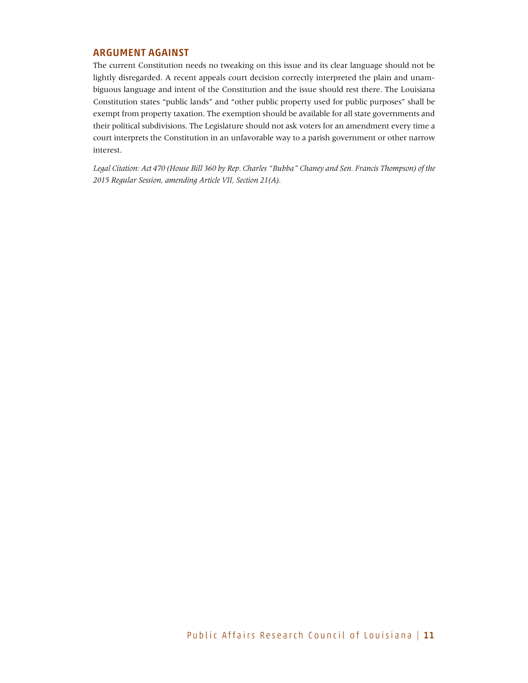#### ARGUMENT AGAINST

The current Constitution needs no tweaking on this issue and its clear language should not be lightly disregarded. A recent appeals court decision correctly interpreted the plain and unambiguous language and intent of the Constitution and the issue should rest there. The Louisiana Constitution states "public lands" and "other public property used for public purposes" shall be exempt from property taxation. The exemption should be available for all state governments and their political subdivisions. The Legislature should not ask voters for an amendment every time a court interprets the Constitution in an unfavorable way to a parish government or other narrow interest.

*Legal Citation: Act 470 (House Bill 360 by Rep. Charles "Bubba" Chaney and Sen. Francis Thompson) of the 2015 Regular Session, amending Article VII, Section 21(A).*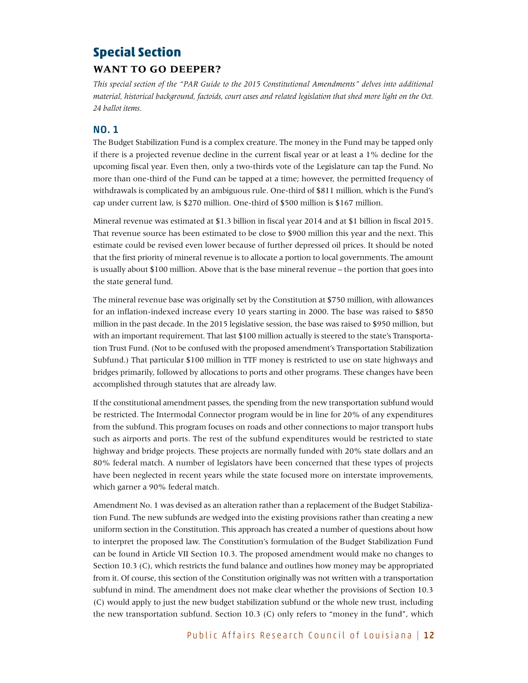### **Special Section**

#### **Want to go deeper?**

*This special section of the "PAR Guide to the 2015 Constitutional Amendments" delves into additional material, historical background, factoids, court cases and related legislation that shed more light on the Oct. 24 ballot items.*

#### No. 1

The Budget Stabilization Fund is a complex creature. The money in the Fund may be tapped only if there is a projected revenue decline in the current fiscal year or at least a 1% decline for the upcoming fiscal year. Even then, only a two-thirds vote of the Legislature can tap the Fund. No more than one-third of the Fund can be tapped at a time; however, the permitted frequency of withdrawals is complicated by an ambiguous rule. One-third of \$811 million, which is the Fund's cap under current law, is \$270 million. One-third of \$500 million is \$167 million.

Mineral revenue was estimated at \$1.3 billion in fiscal year 2014 and at \$1 billion in fiscal 2015. That revenue source has been estimated to be close to \$900 million this year and the next. This estimate could be revised even lower because of further depressed oil prices. It should be noted that the first priority of mineral revenue is to allocate a portion to local governments. The amount is usually about \$100 million. Above that is the base mineral revenue – the portion that goes into the state general fund.

The mineral revenue base was originally set by the Constitution at \$750 million, with allowances for an inflation-indexed increase every 10 years starting in 2000. The base was raised to \$850 million in the past decade. In the 2015 legislative session, the base was raised to \$950 million, but with an important requirement. That last \$100 million actually is steered to the state's Transportation Trust Fund. (Not to be confused with the proposed amendment's Transportation Stabilization Subfund.) That particular \$100 million in TTF money is restricted to use on state highways and bridges primarily, followed by allocations to ports and other programs. These changes have been accomplished through statutes that are already law.

If the constitutional amendment passes, the spending from the new transportation subfund would be restricted. The Intermodal Connector program would be in line for 20% of any expenditures from the subfund. This program focuses on roads and other connections to major transport hubs such as airports and ports. The rest of the subfund expenditures would be restricted to state highway and bridge projects. These projects are normally funded with 20% state dollars and an 80% federal match. A number of legislators have been concerned that these types of projects have been neglected in recent years while the state focused more on interstate improvements, which garner a 90% federal match.

Amendment No. 1 was devised as an alteration rather than a replacement of the Budget Stabilization Fund. The new subfunds are wedged into the existing provisions rather than creating a new uniform section in the Constitution. This approach has created a number of questions about how to interpret the proposed law. The Constitution's formulation of the Budget Stabilization Fund can be found in Article VII Section 10.3. The proposed amendment would make no changes to Section 10.3 (C), which restricts the fund balance and outlines how money may be appropriated from it. Of course, this section of the Constitution originally was not written with a transportation subfund in mind. The amendment does not make clear whether the provisions of Section 10.3 (C) would apply to just the new budget stabilization subfund or the whole new trust, including the new transportation subfund. Section 10.3 (C) only refers to "money in the fund", which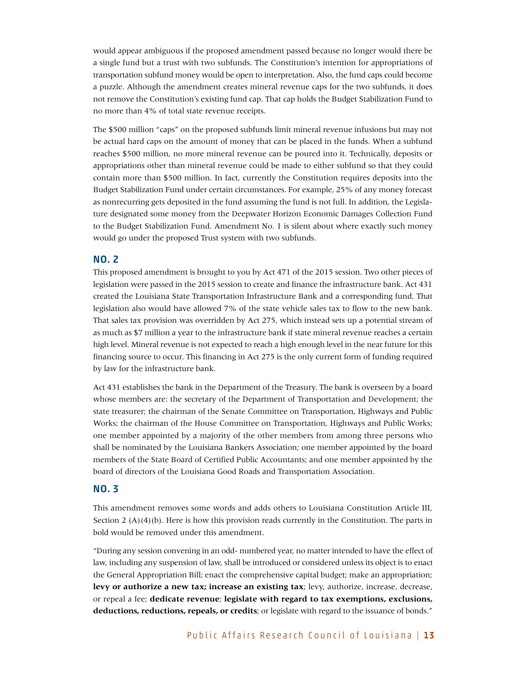would appear ambiguous if the proposed amendment passed because no longer would there be a single fund but a trust with two subfunds. The Constitution's intention for appropriations of transportation subfund money would be open to interpretation. Also, the fund caps could become a puzzle. Although the amendment creates mineral revenue caps for the two subfunds, it does not remove the Constitution's existing fund cap. That cap holds the Budget Stabilization Fund to no more than 4% of total state revenue receipts.

The \$500 million "caps" on the proposed subfunds limit mineral revenue infusions but may not be actual hard caps on the amount of money that can be placed in the funds. When a subfund reaches \$500 million, no more mineral revenue can be poured into it. Technically, deposits or appropriations other than mineral revenue could be made to either subfund so that they could contain more than \$500 million. In fact, currently the Constitution requires deposits into the Budget Stabilization Fund under certain circumstances. For example, 25% of any money forecast as nonrecurring gets deposited in the fund assuming the fund is not full. In addition, the Legislature designated some money from the Deepwater Horizon Economic Damages Collection Fund to the Budget Stabilization Fund. Amendment No. 1 is silent about where exactly such money would go under the proposed Trust system with two subfunds.

#### No. 2

This proposed amendment is brought to you by Act 471 of the 2015 session. Two other pieces of legislation were passed in the 2015 session to create and finance the infrastructure bank. Act 431 created the Louisiana State Transportation Infrastructure Bank and a corresponding fund. That legislation also would have allowed 7% of the state vehicle sales tax to flow to the new bank. That sales tax provision was overridden by Act 275, which instead sets up a potential stream of as much as \$7 million a year to the infrastructure bank if state mineral revenue reaches a certain high level. Mineral revenue is not expected to reach a high enough level in the near future for this financing source to occur. This financing in Act 275 is the only current form of funding required by law for the infrastructure bank.

Act 431 establishes the bank in the Department of the Treasury. The bank is overseen by a board whose members are: the secretary of the Department of Transportation and Development; the state treasurer; the chairman of the Senate Committee on Transportation, Highways and Public Works; the chairman of the House Committee on Transportation, Highways and Public Works; one member appointed by a majority of the other members from among three persons who shall be nominated by the Louisiana Bankers Association; one member appointed by the board members of the State Board of Certified Public Accountants; and one member appointed by the board of directors of the Louisiana Good Roads and Transportation Association.

#### No. 3

This amendment removes some words and adds others to Louisiana Constitution Article III, Section 2 (A)(4)(b). Here is how this provision reads currently in the Constitution. The parts in bold would be removed under this amendment.

"During any session convening in an odd- numbered year, no matter intended to have the effect of law, including any suspension of law, shall be introduced or considered unless its object is to enact the General Appropriation Bill; enact the comprehensive capital budget; make an appropriation; **levy or authorize a new tax; increase an existing tax**; levy, authorize, increase, decrease, or repeal a fee; **dedicate revenue**; **legislate with regard to tax exemptions, exclusions, deductions, reductions, repeals, or credits**; or legislate with regard to the issuance of bonds."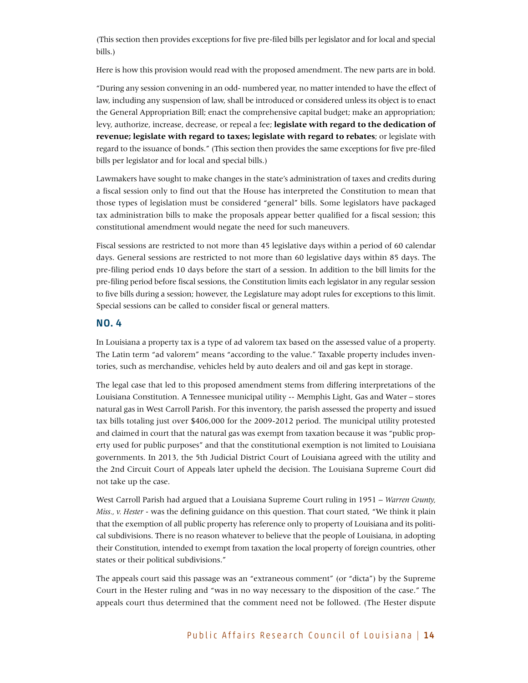(This section then provides exceptions for five pre-filed bills per legislator and for local and special bills.)

Here is how this provision would read with the proposed amendment. The new parts are in bold.

"During any session convening in an odd- numbered year, no matter intended to have the effect of law, including any suspension of law, shall be introduced or considered unless its object is to enact the General Appropriation Bill; enact the comprehensive capital budget; make an appropriation; levy, authorize, increase, decrease, or repeal a fee; **legislate with regard to the dedication of revenue; legislate with regard to taxes; legislate with regard to rebates**; or legislate with regard to the issuance of bonds." (This section then provides the same exceptions for five pre-filed bills per legislator and for local and special bills.)

Lawmakers have sought to make changes in the state's administration of taxes and credits during a fiscal session only to find out that the House has interpreted the Constitution to mean that those types of legislation must be considered "general" bills. Some legislators have packaged tax administration bills to make the proposals appear better qualified for a fiscal session; this constitutional amendment would negate the need for such maneuvers.

Fiscal sessions are restricted to not more than 45 legislative days within a period of 60 calendar days. General sessions are restricted to not more than 60 legislative days within 85 days. The pre-filing period ends 10 days before the start of a session. In addition to the bill limits for the pre-filing period before fiscal sessions, the Constitution limits each legislator in any regular session to five bills during a session; however, the Legislature may adopt rules for exceptions to this limit. Special sessions can be called to consider fiscal or general matters.

#### No. 4

In Louisiana a property tax is a type of ad valorem tax based on the assessed value of a property. The Latin term "ad valorem" means "according to the value." Taxable property includes inventories, such as merchandise, vehicles held by auto dealers and oil and gas kept in storage.

The legal case that led to this proposed amendment stems from differing interpretations of the Louisiana Constitution. A Tennessee municipal utility -- Memphis Light, Gas and Water – stores natural gas in West Carroll Parish. For this inventory, the parish assessed the property and issued tax bills totaling just over \$406,000 for the 2009-2012 period. The municipal utility protested and claimed in court that the natural gas was exempt from taxation because it was "public property used for public purposes" and that the constitutional exemption is not limited to Louisiana governments. In 2013, the 5th Judicial District Court of Louisiana agreed with the utility and the 2nd Circuit Court of Appeals later upheld the decision. The Louisiana Supreme Court did not take up the case.

West Carroll Parish had argued that a Louisiana Supreme Court ruling in 1951 – *Warren County, Miss., v. Hester* - was the defining guidance on this question. That court stated, "We think it plain that the exemption of all public property has reference only to property of Louisiana and its political subdivisions. There is no reason whatever to believe that the people of Louisiana, in adopting their Constitution, intended to exempt from taxation the local property of foreign countries, other states or their political subdivisions."

The appeals court said this passage was an "extraneous comment" (or "dicta") by the Supreme Court in the Hester ruling and "was in no way necessary to the disposition of the case." The appeals court thus determined that the comment need not be followed. (The Hester dispute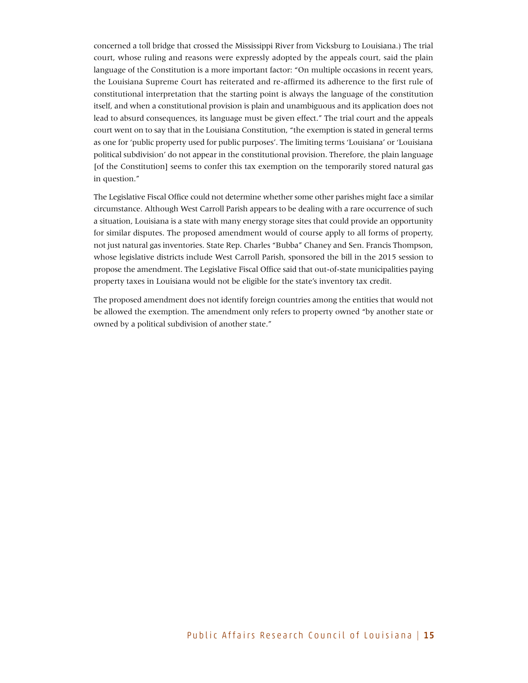concerned a toll bridge that crossed the Mississippi River from Vicksburg to Louisiana.) The trial court, whose ruling and reasons were expressly adopted by the appeals court, said the plain language of the Constitution is a more important factor: "On multiple occasions in recent years, the Louisiana Supreme Court has reiterated and re-affirmed its adherence to the first rule of constitutional interpretation that the starting point is always the language of the constitution itself, and when a constitutional provision is plain and unambiguous and its application does not lead to absurd consequences, its language must be given effect." The trial court and the appeals court went on to say that in the Louisiana Constitution, "the exemption is stated in general terms as one for 'public property used for public purposes'. The limiting terms 'Louisiana' or 'Louisiana political subdivision' do not appear in the constitutional provision. Therefore, the plain language [of the Constitution] seems to confer this tax exemption on the temporarily stored natural gas in question."

The Legislative Fiscal Office could not determine whether some other parishes might face a similar circumstance. Although West Carroll Parish appears to be dealing with a rare occurrence of such a situation, Louisiana is a state with many energy storage sites that could provide an opportunity for similar disputes. The proposed amendment would of course apply to all forms of property, not just natural gas inventories. State Rep. Charles "Bubba" Chaney and Sen. Francis Thompson, whose legislative districts include West Carroll Parish, sponsored the bill in the 2015 session to propose the amendment. The Legislative Fiscal Office said that out-of-state municipalities paying property taxes in Louisiana would not be eligible for the state's inventory tax credit.

The proposed amendment does not identify foreign countries among the entities that would not be allowed the exemption. The amendment only refers to property owned "by another state or owned by a political subdivision of another state."